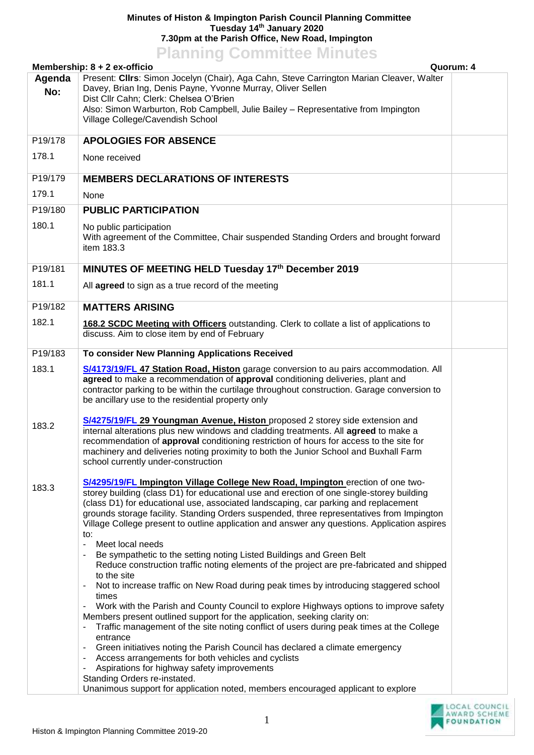## **Minutes of Histon & Impington Parish Council Planning Committee Tuesday 14th January 2020 7.30pm at the Parish Office, New Road, Impington**

**Planning Committee Minutes Membership: 8 + 2 ex-officio Quorum: 4 Agenda No:** Present: **Cllrs**: Simon Jocelyn (Chair), Aga Cahn, Steve Carrington Marian Cleaver, Walter Davey, Brian Ing, Denis Payne, Yvonne Murray, Oliver Sellen Dist Cllr Cahn; Clerk: Chelsea O'Brien Also: Simon Warburton, Rob Campbell, Julie Bailey – Representative from Impington Village College/Cavendish School P19/178 178.1 **APOLOGIES FOR ABSENCE** None received P19/179 179.1 **MEMBERS DECLARATIONS OF INTERESTS** None P19/180 180.1 **PUBLIC PARTICIPATION**  No public participation With agreement of the Committee, Chair suspended Standing Orders and brought forward item 183.3 P19/181 181.1 **MINUTES OF MEETING HELD Tuesday 17th December 2019** All **agreed** to sign as a true record of the meeting P19/182 182.1 **MATTERS ARISING 168.2 SCDC Meeting with Officers** outstanding. Clerk to collate a list of applications to discuss. Aim to close item by end of February P19/183 183.1 183.2 183.3 **To consider New Planning Applications Received [S/4173/19/FL](http://plan.scambs.gov.uk/swiftlg/apas/run/WPHAPPDETAIL.DisplayUrl?theApnID=S/4173/19/FL) 47 Station Road, Histon** garage conversion to au pairs accommodation. All **agreed** to make a recommendation of **approval** conditioning deliveries, plant and contractor parking to be within the curtilage throughout construction. Garage conversion to be ancillary use to the residential property only **[S/4275/19/FL](http://plan.scambs.gov.uk/swiftlg/apas/run/WPHAPPDETAIL.DisplayUrl?theApnID=S/4275/19/FL) 29 Youngman Avenue, Histon** proposed 2 storey side extension and internal alterations plus new windows and cladding treatments. All **agreed** to make a recommendation of **approval** conditioning restriction of hours for access to the site for machinery and deliveries noting proximity to both the Junior School and Buxhall Farm school currently under-construction **[S/4295/19/FL](http://plan.scambs.gov.uk/swiftlg/apas/run/WPHAPPDETAIL.DisplayUrl?theApnID=S/4295/19/FL) Impington Village College New Road, Impington** erection of one twostorey building (class D1) for educational use and erection of one single-storey building (class D1) for educational use, associated landscaping, car parking and replacement grounds storage facility. Standing Orders suspended, three representatives from Impington Village College present to outline application and answer any questions. Application aspires to: Meet local needs - Be sympathetic to the setting noting Listed Buildings and Green Belt - Reduce construction traffic noting elements of the project are pre-fabricated and shipped to the site - Not to increase traffic on New Road during peak times by introducing staggered school times - Work with the Parish and County Council to explore Highways options to improve safety Members present outlined support for the application, seeking clarity on: - Traffic management of the site noting conflict of users during peak times at the College entrance - Green initiatives noting the Parish Council has declared a climate emergency - Access arrangements for both vehicles and cyclists Aspirations for highway safety improvements Standing Orders re-instated. Unanimous support for application noted, members encouraged applicant to explore